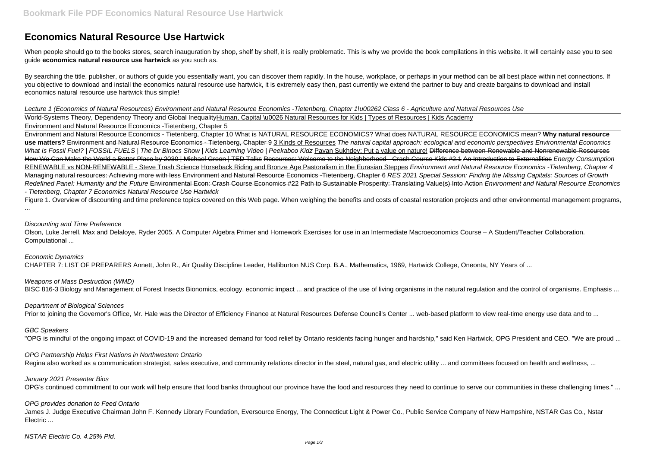# **Economics Natural Resource Use Hartwick**

When people should go to the books stores, search inauguration by shop, shelf by shelf, it is really problematic. This is why we provide the book compilations in this website. It will certainly ease you to see guide **economics natural resource use hartwick** as you such as.

By searching the title, publisher, or authors of guide you essentially want, you can discover them rapidly. In the house, workplace, or perhaps in your method can be all best place within net connections. If you objective to download and install the economics natural resource use hartwick, it is extremely easy then, past currently we extend the partner to buy and create bargains to download and install economics natural resource use hartwick thus simple!

Lecture 1 (Economics of Natural Resources) Environment and Natural Resource Economics -Tietenberg, Chapter 1\u00262 Class 6 - Agriculture and Natural Resources Use World-Systems Theory, Dependency Theory and Global InequalityHuman, Capital \u0026 Natural Resources for Kids | Types of Resources | Kids Academy Environment and Natural Resource Economics -Tietenberg, Chapter 5

Figure 1. Overview of discounting and time preference topics covered on this Web page. When weighing the benefits and costs of coastal restoration projects and other environmental management programs, ...

Environment and Natural Resource Economics - Tietenberg, Chapter 10 What is NATURAL RESOURCE ECONOMICS? What does NATURAL RESOURCE ECONOMICS mean? **Why natural resource** use matters? Environment and Natural Resource Economics - Tietenberg, Chapter 9 3 Kinds of Resources The natural capital approach: ecological and economic perspectives Environmental Economics What Is Fossil Fuel? | FOSSIL FUELS | The Dr Binocs Show | Kids Learning Video | Peekaboo Kidz Pavan Sukhdev: Put a value on nature! Difference between Renewable and Nonrenewable Resources How We Can Make the World a Better Place by 2030 | Michael Green | TED Talks Resources: Welcome to the Neighborhood - Crash Course Kids #2.1 An Introduction to Externalities Energy Consumption RENEWABLE vs NON-RENEWABLE - Steve Trash Science Horseback Riding and Bronze Age Pastoralism in the Eurasian Steppes Environment and Natural Resource Economics - Tietenberg, Chapter 4 Managing natural resources: Achieving more with less Environment and Natural Resource Economics -Tietenberg, Chapter 6 RES 2021 Special Session: Finding the Missing Capitals: Sources of Growth Redefined Panel: Humanity and the Future Environmental Econ: Crash Course Economics #22 Path to Sustainable Prosperity: Translating Value(s) Into Action Environment and Natural Resource Economics - Tietenberg, Chapter 7 Economics Natural Resource Use Hartwick

James J. Judge Executive Chairman John F. Kennedy Library Foundation, Eversource Energy, The Connecticut Light & Power Co., Public Service Company of New Hampshire, NSTAR Gas Co., Nstar Electric ...

## Discounting and Time Preference

Olson, Luke Jerrell, Max and Delaloye, Ryder 2005. A Computer Algebra Primer and Homework Exercises for use in an Intermediate Macroeconomics Course – A Student/Teacher Collaboration. Computational ...

Economic Dynamics CHAPTER 7: LIST OF PREPARERS Annett, John R., Air Quality Discipline Leader, Halliburton NUS Corp. B.A., Mathematics, 1969, Hartwick College, Oneonta, NY Years of ...

## Weapons of Mass Destruction (WMD)

BISC 816-3 Biology and Management of Forest Insects Bionomics, ecology, economic impact ... and practice of the use of living organisms in the natural regulation and the control of organisms. Emphasis ...

## Department of Biological Sciences

Prior to joining the Governor's Office, Mr. Hale was the Director of Efficiency Finance at Natural Resources Defense Council's Center ... web-based platform to view real-time energy use data and to ...

## GBC Speakers

"OPG is mindful of the ongoing impact of COVID-19 and the increased demand for food relief by Ontario residents facing hunger and hardship," said Ken Hartwick, OPG President and CEO. "We are proud ...

## OPG Partnership Helps First Nations in Northwestern Ontario

Regina also worked as a communication strategist, sales executive, and community relations director in the steel, natural gas, and electric utility ... and committees focused on health and wellness, ...

#### January 2021 Presenter Bios

OPG's continued commitment to our work will help ensure that food banks throughout our province have the food and resources they need to continue to serve our communities in these challenging times." ...

## OPG provides donation to Feed Ontario

NSTAR Electric Co. 4.25% Pfd.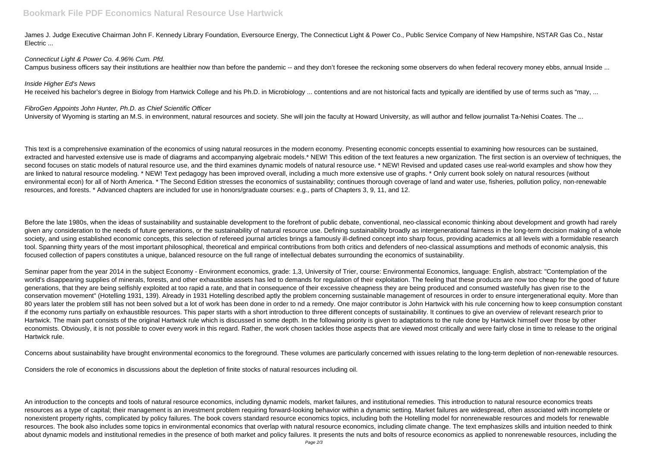James J. Judge Executive Chairman John F. Kennedy Library Foundation, Eversource Energy, The Connecticut Light & Power Co., Public Service Company of New Hampshire, NSTAR Gas Co., Nstar Electric ...

## Connecticut Light & Power Co. 4.96% Cum. Pfd.

Campus business officers say their institutions are healthier now than before the pandemic -- and they don't foresee the reckoning some observers do when federal recovery money ebbs, annual Inside ...

## Inside Higher Ed's News

He received his bachelor's degree in Biology from Hartwick College and his Ph.D. in Microbiology ... contentions and are not historical facts and typically are identified by use of terms such as "may, ...

## FibroGen Appoints John Hunter, Ph.D. as Chief Scientific Officer

University of Wyoming is starting an M.S. in environment, natural resources and society. She will join the faculty at Howard University, as will author and fellow journalist Ta-Nehisi Coates. The ...

Before the late 1980s, when the ideas of sustainability and sustainable development to the forefront of public debate, conventional, neo-classical economic thinking about development and growth had rarely given any consideration to the needs of future generations, or the sustainability of natural resource use. Defining sustainability broadly as intergenerational fairness in the long-term decision making of a whole society, and using established economic concepts, this selection of refereed journal articles brings a famously ill-defined concept into sharp focus, providing academics at all levels with a formidable research tool. Spanning thirty years of the most important philosophical, theoretical and empirical contributions from both critics and defenders of neo-classical assumptions and methods of economic analysis, this focused collection of papers constitutes a unique, balanced resource on the full range of intellectual debates surrounding the economics of sustainability.

This text is a comprehensive examination of the economics of using natural reosurces in the modern economy. Presenting economic concepts essential to examining how resources can be sustained, extracted and harvested extensive use is made of diagrams and accompanying algebraic models.\* NEW! This edition of the text features a new organization. The first section is an overview of techniques, the second focuses on static models of natural resource use, and the third examines dynamic models of natural resource use. \* NEW! Revised and updated cases use real-world examples and show how they are linked to natural resource modeling. \* NEW! Text pedagogy has been improved overall, including a much more extensive use of graphs. \* Only current book solely on natural resources (without environmental econ) for all of North America. \* The Second Edition stresses the economics of sustainability; continues thorough coverage of land and water use, fisheries, pollution policy, non-renewable resources, and forests. \* Advanced chapters are included for use in honors/graduate courses: e.g., parts of Chapters 3, 9, 11, and 12.

Seminar paper from the year 2014 in the subject Economy - Environment economics, grade: 1,3, University of Trier, course: Environmental Economics, language: English, abstract: "Contemplation of the world's disappearing supplies of minerals, forests, and other exhaustible assets has led to demands for regulation of their exploitation. The feeling that these products are now too cheap for the good of future generations, that they are being selfishly exploited at too rapid a rate, and that in consequence of their excessive cheapness they are being produced and consumed wastefully has given rise to the conservation movement" (Hotelling 1931, 139). Already in 1931 Hotelling described aptly the problem concerning sustainable management of resources in order to ensure intergenerational equity. More than 80 years later the problem still has not been solved but a lot of work has been done in order to nd a remedy. One major contributor is John Hartwick with his rule concerning how to keep consumption constant if the economy runs partially on exhaustible resources. This paper starts with a short introduction to three different concepts of sustainability. It continues to give an overview of relevant research prior to Hartwick. The main part consists of the original Hartwick rule which is discussed in some depth. In the following priority is given to adaptations to the rule done by Hartwick himself over those by other economists. Obviously, it is not possible to cover every work in this regard. Rather, the work chosen tackles those aspects that are viewed most critically and were fairly close in time to release to the original Hartwick rule.

Concerns about sustainability have brought environmental economics to the foreground. These volumes are particularly concerned with issues relating to the long-term depletion of non-renewable resources.

Considers the role of economics in discussions about the depletion of finite stocks of natural resources including oil.

An introduction to the concepts and tools of natural resource economics, including dynamic models, market failures, and institutional remedies. This introduction to natural resource economics treats resources as a type of capital; their management is an investment problem requiring forward-looking behavior within a dynamic setting. Market failures are widespread, often associated with incomplete or nonexistent property rights, complicated by policy failures. The book covers standard resource economics topics, including both the Hotelling model for nonrenewable resources and models for renewable resources. The book also includes some topics in environmental economics that overlap with natural resource economics, including climate change. The text emphasizes skills and intuition needed to think about dynamic models and institutional remedies in the presence of both market and policy failures. It presents the nuts and bolts of resource economics as applied to nonrenewable resources, including the